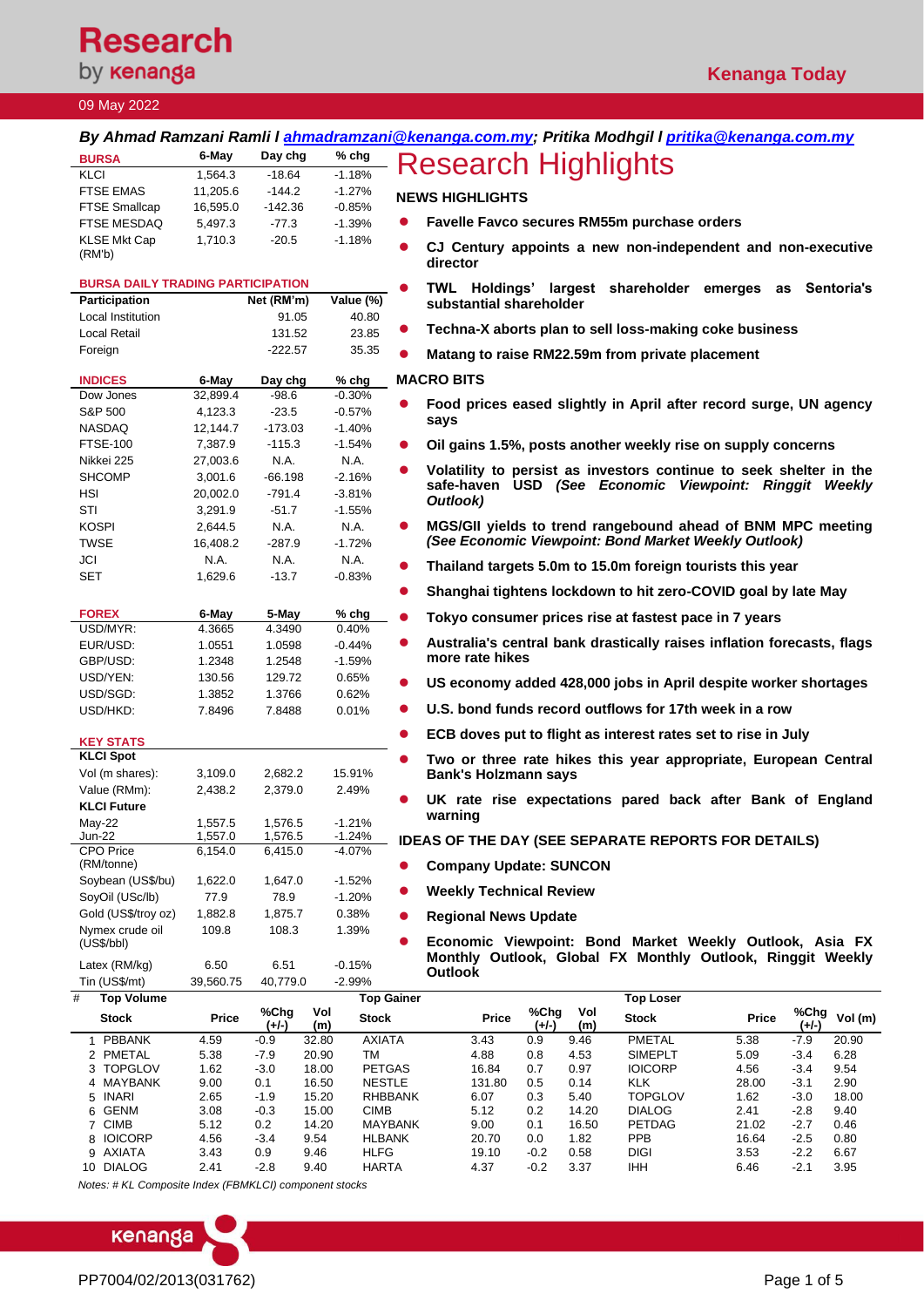# **Research**

by **kenanga** 

### 09 May 2022

|                                          |                    |                    |                                       | <u>By Ahmad Ramzani Ramli I <u>ahmadramzani@kenanga.com.my</u>; Pritika Modhgil I <u>pritika@kenanga.com.my</u></u>                 |
|------------------------------------------|--------------------|--------------------|---------------------------------------|-------------------------------------------------------------------------------------------------------------------------------------|
| <b>BURSA</b>                             | 6-May              | Day chg            | $%$ chg                               | <b>Research Highlights</b>                                                                                                          |
| <b>KLCI</b>                              | 1,564.3            | $-18.64$           | $-1.18%$                              |                                                                                                                                     |
| <b>FTSE EMAS</b>                         | 11,205.6           | $-144.2$           | $-1.27%$                              | <b>NEWS HIGHLIGHTS</b>                                                                                                              |
| <b>FTSE Smallcap</b>                     | 16,595.0           | $-142.36$          | $-0.85%$                              |                                                                                                                                     |
| <b>FTSE MESDAQ</b>                       | 5,497.3            | $-77.3$            | $-1.39%$<br>$\bullet$                 | Favelle Favco secures RM55m purchase orders                                                                                         |
| <b>KLSE Mkt Cap</b>                      | 1,710.3            | $-20.5$            | $-1.18%$                              | CJ Century appoints a new non-independent and non-executive                                                                         |
| (RM'b)                                   |                    |                    |                                       | director                                                                                                                            |
|                                          |                    |                    |                                       |                                                                                                                                     |
| <b>BURSA DAILY TRADING PARTICIPATION</b> |                    |                    | $\bullet$                             | TWL Holdings' largest shareholder emerges<br>Sentoria's<br>as                                                                       |
| <b>Participation</b>                     |                    | Net (RM'm)         | Value (%)                             | substantial shareholder                                                                                                             |
| Local Institution                        |                    | 91.05              | 40.80                                 | Techna-X aborts plan to sell loss-making coke business                                                                              |
| Local Retail                             |                    | 131.52             | 23.85                                 |                                                                                                                                     |
| Foreign                                  |                    | $-222.57$          | 35.35                                 | Matang to raise RM22.59m from private placement                                                                                     |
| <b>INDICES</b>                           | 6-May              | Day chg            | $%$ chg                               | <b>MACRO BITS</b>                                                                                                                   |
| Dow Jones                                | 32,899.4           | $-98.6$            | $-0.30%$                              |                                                                                                                                     |
| S&P 500                                  | 4,123.3            | $-23.5$            | $\bullet$<br>$-0.57%$                 | Food prices eased slightly in April after record surge, UN agency                                                                   |
| NASDAQ                                   | 12,144.7           | $-173.03$          | $-1.40%$                              | says                                                                                                                                |
| <b>FTSE-100</b>                          | 7,387.9            | $-115.3$           | $-1.54%$<br>$\bullet$                 | Oil gains 1.5%, posts another weekly rise on supply concerns                                                                        |
| Nikkei 225                               | 27,003.6           | N.A.               | N.A.                                  |                                                                                                                                     |
| SHCOMP                                   | 3,001.6            | $-66.198$          | $-2.16%$                              | Volatility to persist as investors continue to seek shelter in the<br>safe-haven USD (See Economic Viewpoint: Ringgit Weekly        |
| <b>HSI</b>                               | 20,002.0           | $-791.4$           | $-3.81%$                              | Outlook)                                                                                                                            |
| STI                                      | 3,291.9            | $-51.7$            | $-1.55%$                              |                                                                                                                                     |
| KOSPI                                    | 2,644.5            | N.A.               | N.A.<br>$\bullet$                     | MGS/GII yields to trend rangebound ahead of BNM MPC meeting                                                                         |
| TWSE                                     | 16,408.2           | $-287.9$           | $-1.72%$                              | (See Economic Viewpoint: Bond Market Weekly Outlook)                                                                                |
| JCI                                      | N.A.               | N.A.               | N.A.<br>$\bullet$                     | Thailand targets 5.0m to 15.0m foreign tourists this year                                                                           |
| SET                                      | 1,629.6            | $-13.7$            | $-0.83%$                              |                                                                                                                                     |
|                                          |                    |                    |                                       | Shanghai tightens lockdown to hit zero-COVID goal by late May                                                                       |
| <b>FOREX</b><br>USD/MYR:                 | 6-May<br>4.3665    | 5-May<br>4.3490    | % chg<br>0.40%                        | Tokyo consumer prices rise at fastest pace in 7 years                                                                               |
| EUR/USD:                                 | 1.0551             | 1.0598             | $-0.44%$                              | Australia's central bank drastically raises inflation forecasts, flags                                                              |
| GBP/USD:                                 | 1.2348             | 1.2548             | $-1.59%$                              | more rate hikes                                                                                                                     |
| USD/YEN:                                 | 130.56             | 129.72             | 0.65%                                 |                                                                                                                                     |
| USD/SGD:                                 | 1.3852             | 1.3766             | 0.62%                                 | US economy added 428,000 jobs in April despite worker shortages                                                                     |
| USD/HKD:                                 | 7.8496             | 7.8488             | 0.01%                                 | U.S. bond funds record outflows for 17th week in a row                                                                              |
|                                          |                    |                    |                                       |                                                                                                                                     |
| <b>KEY STATS</b>                         |                    |                    | $\bullet$                             | ECB doves put to flight as interest rates set to rise in July                                                                       |
| <b>KLCI Spot</b>                         |                    |                    |                                       | Two or three rate hikes this year appropriate, European Central                                                                     |
| Vol (m shares):                          | 3,109.0            | 2,682.2            | 15.91%                                | <b>Bank's Holzmann says</b>                                                                                                         |
| Value (RMm):                             | 2,438.2            | 2,379.0            | 2.49%                                 | UK rate rise expectations pared back after Bank of England                                                                          |
| <b>KLCI Future</b>                       |                    |                    |                                       | warning                                                                                                                             |
| May-22                                   | 1,557.5            | 1,576.5            | $-1.21%$                              |                                                                                                                                     |
| $Jun-22$<br>CPO Price                    | 1,557.0<br>6,154.0 | 1,576.5<br>6,415.0 | $-1.24%$<br>$-4.07%$                  | <b>IDEAS OF THE DAY (SEE SEPARATE REPORTS FOR DETAILS)</b>                                                                          |
| (RM/tonne)                               |                    |                    |                                       | <b>Company Update: SUNCON</b>                                                                                                       |
| Soybean (US\$/bu)                        | 1,622.0            | 1,647.0            | $-1.52%$                              |                                                                                                                                     |
| SoyOil (USc/lb)                          | 77.9               | 78.9               | $\bullet$<br>$-1.20%$                 | <b>Weekly Technical Review</b>                                                                                                      |
| Gold (US\$/troy oz)                      | 1,882.8            | 1,875.7            | 0.38%                                 | <b>Regional News Update</b>                                                                                                         |
| Nymex crude oil                          | 109.8              | 108.3              | 1.39%                                 |                                                                                                                                     |
| (US\$/bb)                                |                    |                    |                                       | Economic Viewpoint: Bond Market Weekly Outlook, Asia FX                                                                             |
| Latex (RM/kg)                            | 6.50               | 6.51               | $-0.15%$                              | Monthly Outlook, Global FX Monthly Outlook, Ringgit Weekly<br><b>Outlook</b>                                                        |
| Tin (US\$/mt)                            | 39,560.75          | 40,779.0           | $-2.99%$                              |                                                                                                                                     |
| #<br><b>Top Volume</b>                   |                    |                    | <b>Top Gainer</b>                     | <b>Top Loser</b>                                                                                                                    |
| <b>Stock</b>                             | Price              | %Chg<br>$(+/-)$    | Vol<br><b>Stock</b><br>(m)            | %Chg<br>%Chg<br>Vol<br>Vol (m)<br>Price<br>Stock<br>Price<br>$(+/-)$<br>$(+/-)$<br>(m)                                              |
| PBBANK<br>$\mathbf{1}$                   | 4.59               | $-0.9$             | 32.80<br><b>AXIATA</b>                | 3.43<br>PMETAL<br>5.38<br>$-7.9$<br>20.90<br>0.9<br>9.46                                                                            |
| 2 PMETAL<br>3 TOPGLOV                    | 5.38<br>1.62       | $-7.9$<br>$-3.0$   | 20.90<br>TM<br>18.00<br><b>PETGAS</b> | 4.53<br><b>SIMEPLT</b><br>5.09<br>6.28<br>4.88<br>0.8<br>$-3.4$<br>16.84<br>0.7<br>0.97<br><b>IOICORP</b><br>4.56<br>$-3.4$<br>9.54 |
| 4 MAYBANK                                | 9.00               | 0.1                | 16.50<br><b>NESTLE</b>                | 0.5<br>KLK<br>$-3.1$<br>2.90<br>131.80<br>0.14<br>28.00                                                                             |
| 5 INARI                                  | 2.65               | $-1.9$             | 15.20<br>RHBBANK                      | $-3.0$<br>0.3<br>5.40<br><b>TOPGLOV</b><br>1.62<br>6.07<br>18.00                                                                    |

 GENM 3.08 -0.3 15.00 CIMB 5.12 0.2 14.20 DIALOG 2.41 -2.8 9.40 CIMB 5.12 0.2 14.20 MAYBANK 9.00 0.1 16.50 PETDAG 21.02 -2.7 0.46 IOICORP 4.56 -3.4 9.54 HLBANK 20.70 0.0 1.82 PPB 16.64 -2.5 0.80 AXIATA 3.43 0.9 9.46 HLFG 19.10 -0.2 0.58 DIGI 3.53 -2.2 6.67

10 DIALOG 2.41 -2.8 9.40 HARTA 4.37 -0.2 3.37 IHH 6.46 -2.1 3.95 *Notes: # KL Composite Index (FBMKLCI) component stocks*

kenanga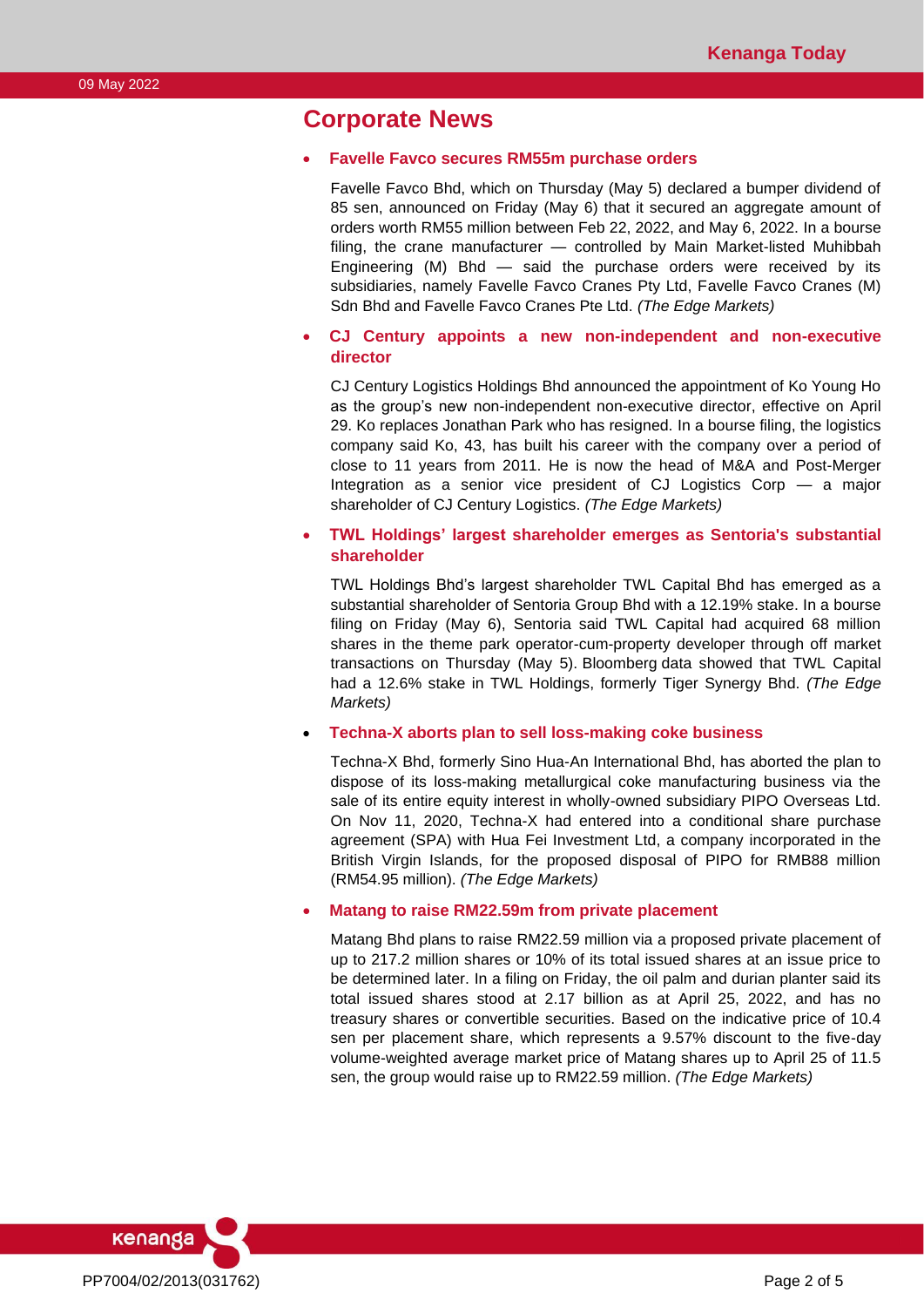## **Corporate News**

#### • **Favelle Favco secures RM55m purchase orders**

Favelle Favco Bhd, which on Thursday (May 5) declared a bumper dividend of 85 sen, announced on Friday (May 6) that it secured an aggregate amount of orders worth RM55 million between Feb 22, 2022, and May 6, 2022. In a bourse filing, the crane manufacturer — controlled by Main Market-listed Muhibbah Engineering (M) Bhd — said the purchase orders were received by its subsidiaries, namely Favelle Favco Cranes Pty Ltd, Favelle Favco Cranes (M) Sdn Bhd and Favelle Favco Cranes Pte Ltd. *(The Edge Markets)*

#### • **CJ Century appoints a new non-independent and non-executive director**

CJ Century Logistics Holdings Bhd announced the appointment of Ko Young Ho as the group's new non-independent non-executive director, effective on April 29. Ko replaces Jonathan Park who has resigned. In a bourse filing, the logistics company said Ko, 43, has built his career with the company over a period of close to 11 years from 2011. He is now the head of M&A and Post-Merger Integration as a senior vice president of CJ Logistics Corp — a major shareholder of CJ Century Logistics. *(The Edge Markets)*

#### • **TWL Holdings' largest shareholder emerges as Sentoria's substantial shareholder**

TWL Holdings Bhd's largest shareholder TWL Capital Bhd has emerged as a substantial shareholder of Sentoria Group Bhd with a 12.19% stake. In a bourse filing on Friday (May 6), Sentoria said TWL Capital had acquired 68 million shares in the theme park operator-cum-property developer through off market transactions on Thursday (May 5). Bloomberg data showed that TWL Capital had a 12.6% stake in TWL Holdings, formerly Tiger Synergy Bhd. *(The Edge Markets)*

• **Techna-X aborts plan to sell loss-making coke business**

Techna-X Bhd, formerly Sino Hua-An International Bhd, has aborted the plan to dispose of its loss-making metallurgical coke manufacturing business via the sale of its entire equity interest in wholly-owned subsidiary PIPO Overseas Ltd. On Nov 11, 2020, Techna-X had entered into a conditional share purchase agreement (SPA) with Hua Fei Investment Ltd, a company incorporated in the British Virgin Islands, for the proposed disposal of PIPO for RMB88 million (RM54.95 million). *(The Edge Markets)*

#### • **Matang to raise RM22.59m from private placement**

Matang Bhd plans to raise RM22.59 million via a proposed private placement of up to 217.2 million shares or 10% of its total issued shares at an issue price to be determined later. In a filing on Friday, the oil palm and durian planter said its total issued shares stood at 2.17 billion as at April 25, 2022, and has no treasury shares or convertible securities. Based on the indicative price of 10.4 sen per placement share, which represents a 9.57% discount to the five-day volume-weighted average market price of Matang shares up to April 25 of 11.5 sen, the group would raise up to RM22.59 million. *(The Edge Markets)*

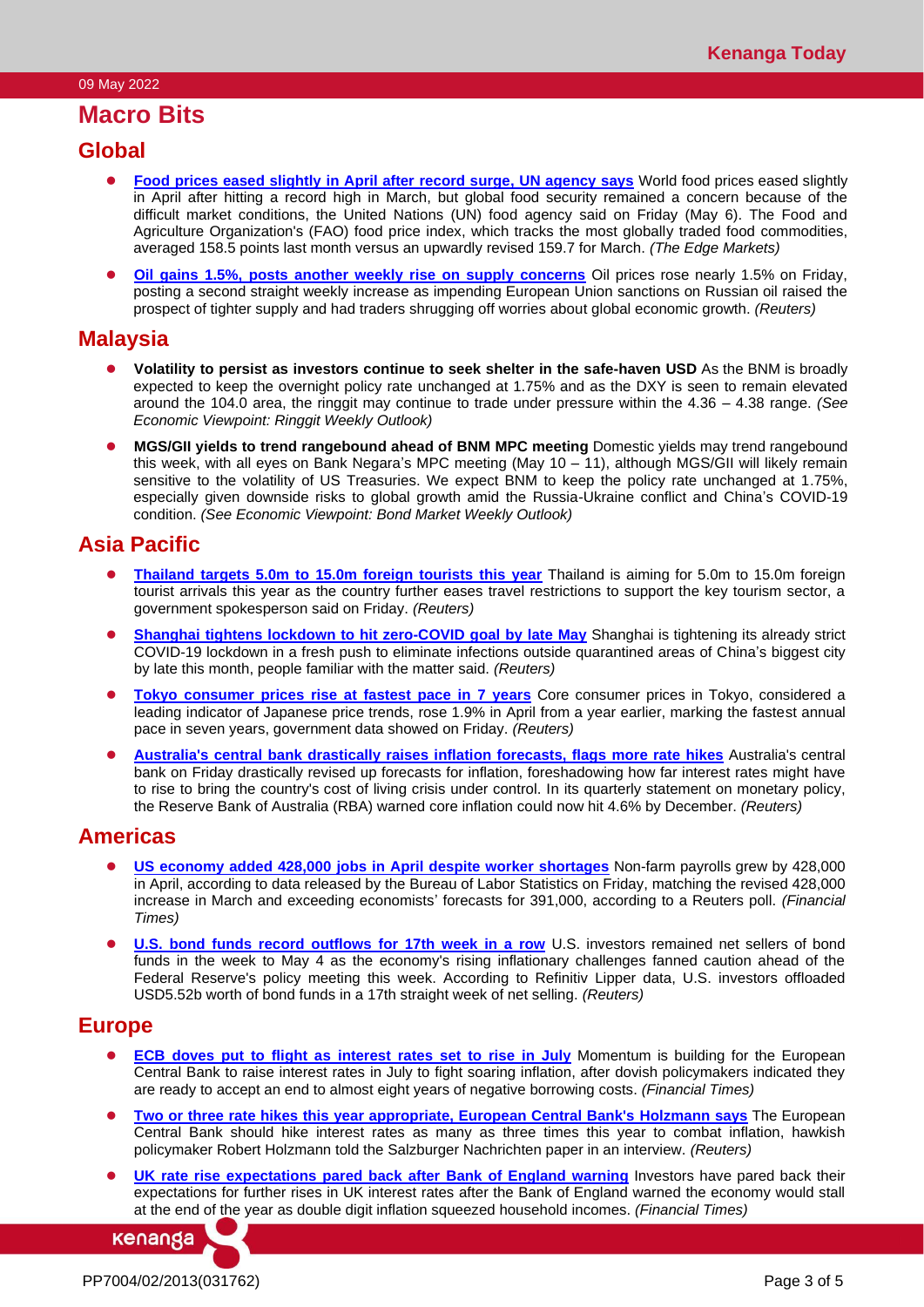## **Macro Bits**

### **Global**

- ⚫ **[Food prices eased slightly in April after record surge, UN agency says](https://www.theedgemarkets.com/article/food-prices-eased-slightly-april-after-record-surge-un-agency-says)** World food prices eased slightly in April after hitting a record high in March, but global food security remained a concern because of the difficult market conditions, the United Nations (UN) food agency said on Friday (May 6). The Food and Agriculture Organization's (FAO) food price index, which tracks the most globally traded food commodities, averaged 158.5 points last month versus an upwardly revised 159.7 for March. *(The Edge Markets)*
- ⚫ **[Oil gains 1.5%, posts another weekly rise on supply concerns](https://www.reuters.com/business/oil-falls-demand-concerns-weigh-against-tight-supply-2022-05-06/)** Oil prices rose nearly 1.5% on Friday, posting a second straight weekly increase as impending European Union sanctions on Russian oil raised the prospect of tighter supply and had traders shrugging off worries about global economic growth. *(Reuters)*

### **Malaysia**

- ⚫ **Volatility to persist as investors continue to seek shelter in the safe-haven USD** As the BNM is broadly expected to keep the overnight policy rate unchanged at 1.75% and as the DXY is seen to remain elevated around the 104.0 area, the ringgit may continue to trade under pressure within the 4.36 – 4.38 range. *(See Economic Viewpoint: Ringgit Weekly Outlook)*
- ⚫ **MGS/GII yields to trend rangebound ahead of BNM MPC meeting** Domestic yields may trend rangebound this week, with all eyes on Bank Negara's MPC meeting (May 10 – 11), although MGS/GII will likely remain sensitive to the volatility of US Treasuries. We expect BNM to keep the policy rate unchanged at 1.75%, especially given downside risks to global growth amid the Russia-Ukraine conflict and China's COVID-19 condition. *(See Economic Viewpoint: Bond Market Weekly Outlook)*

## **Asia Pacific**

- ⚫ **[Thailand targets 5.0m to 15.0m foreign tourists this year](https://www.reuters.com/world/asia-pacific/thailand-targets-5-mln-15-mln-foreign-tourists-this-year-2022-05-06/)** Thailand is aiming for 5.0m to 15.0m foreign tourist arrivals this year as the country further eases travel restrictions to support the key tourism sector, a government spokesperson said on Friday. *(Reuters)*
- **[Shanghai tightens lockdown to hit zero-COVID goal by late May](https://www.reuters.com/article/us-health-coronavirus-shanghai-lockdown/shanghai-tightens-lockdown-to-hit-zero-covid-goal-by-late-may-sources-idUSKCN2MU047)** Shanghai is tightening its already strict COVID-19 lockdown in a fresh push to eliminate infections outside quarantined areas of China's biggest city by late this month, people familiar with the matter said. *(Reuters)*
- ⚫ **[Tokyo consumer prices rise at fastest pace in 7 years](https://www.reuters.com/world/asia-pacific/tokyo-consumer-prices-rise-fastest-pace-7-years-2022-05-05/)** Core consumer prices in Tokyo, considered a leading indicator of Japanese price trends, rose 1.9% in April from a year earlier, marking the fastest annual pace in seven years, government data showed on Friday. *(Reuters)*
- ⚫ **[Australia's central bank drastically raises inflation forecasts, flags more rate hikes](https://www.reuters.com/world/asia-pacific/australias-central-bank-drastically-raises-inflation-forecasts-flags-more-rate-2022-05-06/)** Australia's central bank on Friday drastically revised up forecasts for inflation, foreshadowing how far interest rates might have to rise to bring the country's cost of living crisis under control. In its quarterly statement on monetary policy, the Reserve Bank of Australia (RBA) warned core inflation could now hit 4.6% by December. *(Reuters)*

## **Americas**

- ⚫ **[US economy added 428,000 jobs in April despite worker shortages](https://www.ft.com/content/3f068499-ce61-4626-88a9-de3b38a74dcf)** Non-farm payrolls grew by 428,000 in April, according to data released by the Bureau of Labor Statistics on Friday, matching the revised 428,000 increase in March and exceeding economists' forecasts for 391,000, according to a Reuters poll. *(Financial Times)*
- **[U.S. bond funds record outflows for 17th week in a row](https://www.reuters.com/business/us-bond-funds-record-outflows-17th-week-row-2022-05-06/)** U.S. investors remained net sellers of bond funds in the week to May 4 as the economy's rising inflationary challenges fanned caution ahead of the Federal Reserve's policy meeting this week. According to Refinitiv Lipper data, U.S. investors offloaded USD5.52b worth of bond funds in a 17th straight week of net selling. *(Reuters)*

## **Europe**

- **ECB doves put to flight as [interest rates set to rise in July](https://www.ft.com/content/273d2613-93b8-4224-8f81-7281337ab618)** Momentum is building for the European Central Bank to raise interest rates in July to fight soaring inflation, after dovish policymakers indicated they are ready to accept an end to almost eight years of negative borrowing costs. *(Financial Times)*
- ⚫ **[Two or three rate hikes this year appropriate, European Central Bank's Holzmann says](https://www.reuters.com/world/europe/two-or-three-rate-hikes-this-year-appropriate-ecbs-holzmann-2022-05-07/)** The European Central Bank should hike interest rates as many as three times this year to combat inflation, hawkish policymaker Robert Holzmann told the Salzburger Nachrichten paper in an interview. *(Reuters)*
- **[UK rate rise expectations pared back after Bank of England warning](https://www.ft.com/content/71151ad4-982f-4873-a5d5-984a816ac6d0) Investors have pared back their** expectations for further rises in UK interest rates after the Bank of England warned the economy would stall at the end of the year as double digit inflation squeezed household incomes. *(Financial Times)*

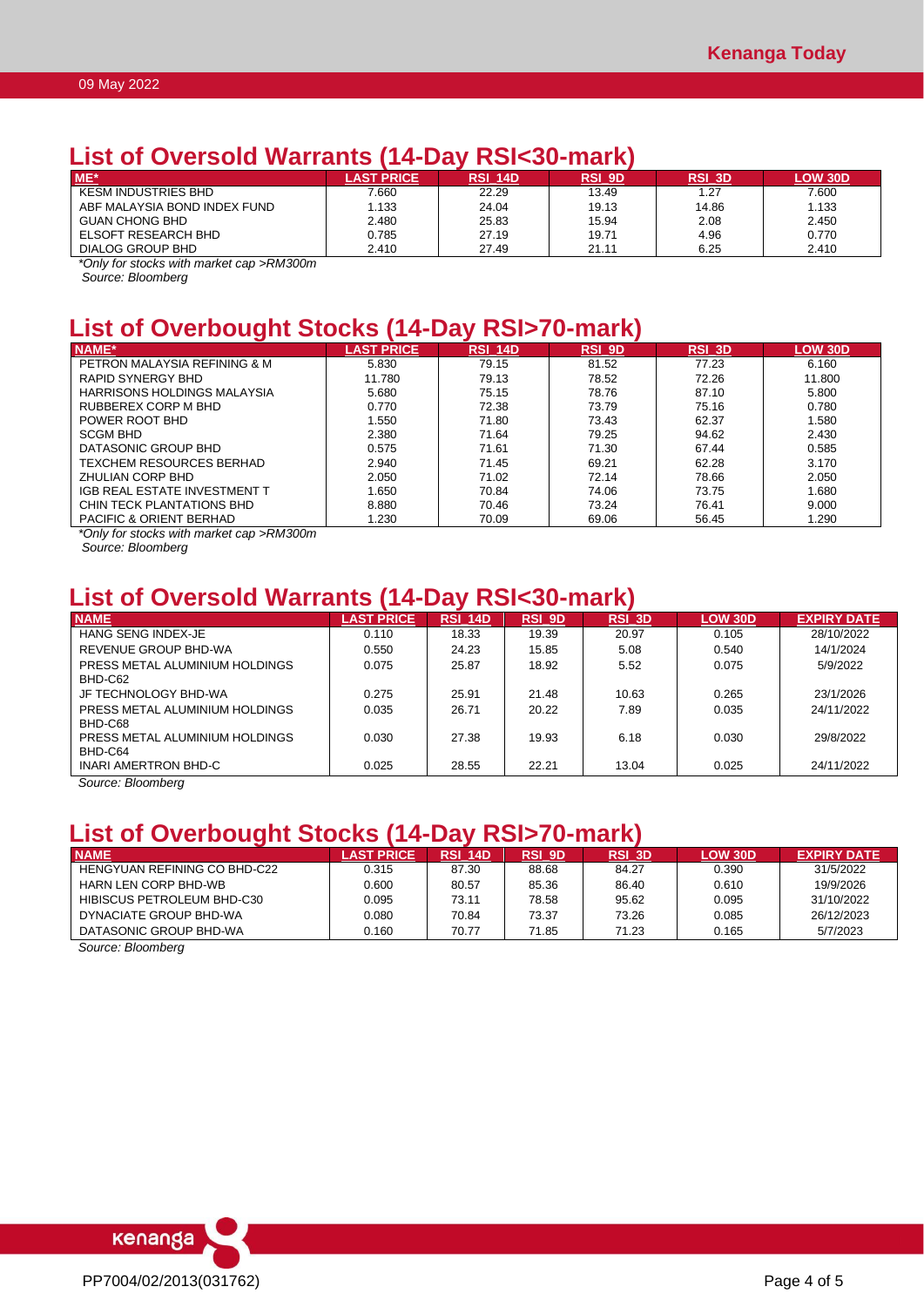## **List of Oversold Warrants (14-Day RSI<30-mark)**

| $ME*$                        | <b>AST PRICE</b> | <b>RSI 14D</b> | <b>RSI 9D</b> | RSI 3D | <b>LOW 30D</b> |
|------------------------------|------------------|----------------|---------------|--------|----------------|
| <b>KESM INDUSTRIES BHD</b>   | .660             | 22.29          | 13.49         | 1.27   | 7.600          |
| ABF MALAYSIA BOND INDEX FUND | .133             | 24.04          | 19.13         | 14.86  | 1.133          |
| GUAN CHONG BHD               | 2.480            | 25.83          | 15.94         | 2.08   | 2.450          |
| <b>ELSOFT RESEARCH BHD</b>   | 0.785            | 27.19          | 19.71         | 4.96   | 0.770          |
| DIALOG GROUP BHD             | 2.410            | 27.49          | 21.11         | 6.25   | 2.410          |

*\*Only for stocks with market cap >RM300m*

*Source: Bloomberg*

## **List of Overbought Stocks (14-Day RSI>70-mark)**

| NAME*                              | <b>LAST PRICE</b> | RSI 14D | <b>RSI 9D</b> | <b>RSI 3D</b> | LOW 30D |
|------------------------------------|-------------------|---------|---------------|---------------|---------|
| PETRON MALAYSIA REFINING & M       | 5.830             | 79.15   | 81.52         | 77.23         | 6.160   |
| RAPID SYNERGY BHD                  | 11.780            | 79.13   | 78.52         | 72.26         | 11.800  |
| HARRISONS HOLDINGS MALAYSIA        | 5.680             | 75.15   | 78.76         | 87.10         | 5.800   |
| RUBBEREX CORP M BHD                | 0.770             | 72.38   | 73.79         | 75.16         | 0.780   |
| POWER ROOT BHD                     | 1.550             | 71.80   | 73.43         | 62.37         | 1.580   |
| <b>SCGM BHD</b>                    | 2.380             | 71.64   | 79.25         | 94.62         | 2.430   |
| DATASONIC GROUP BHD                | 0.575             | 71.61   | 71.30         | 67.44         | 0.585   |
| TEXCHEM RESOURCES BERHAD           | 2.940             | 71.45   | 69.21         | 62.28         | 3.170   |
| ZHULIAN CORP BHD                   | 2.050             | 71.02   | 72.14         | 78.66         | 2.050   |
| IGB REAL ESTATE INVESTMENT T       | 1.650             | 70.84   | 74.06         | 73.75         | 1.680   |
| CHIN TECK PLANTATIONS BHD          | 8.880             | 70.46   | 73.24         | 76.41         | 9.000   |
| <b>PACIFIC &amp; ORIENT BERHAD</b> | 1.230             | 70.09   | 69.06         | 56.45         | 1.290   |

*\*Only for stocks with market cap >RM300m*

*Source: Bloomberg*

## **List of Oversold Warrants (14-Day RSI<30-mark)**

| <b>NAME</b>                    | <b>LAST PRICE</b> | <b>RSI 14D</b> | RSI 9D | <b>RSI 3D</b> | <b>LOW 30D</b> | <b>EXPIRY DATE</b> |
|--------------------------------|-------------------|----------------|--------|---------------|----------------|--------------------|
| HANG SENG INDEX-JE             | 0.110             | 18.33          | 19.39  | 20.97         | 0.105          | 28/10/2022         |
| REVENUE GROUP BHD-WA           | 0.550             | 24.23          | 15.85  | 5.08          | 0.540          | 14/1/2024          |
| PRESS METAL ALUMINIUM HOLDINGS | 0.075             | 25.87          | 18.92  | 5.52          | 0.075          | 5/9/2022           |
| BHD-C62                        |                   |                |        |               |                |                    |
| JF TECHNOLOGY BHD-WA           | 0.275             | 25.91          | 21.48  | 10.63         | 0.265          | 23/1/2026          |
| PRESS METAL ALUMINIUM HOLDINGS | 0.035             | 26.71          | 20.22  | 7.89          | 0.035          | 24/11/2022         |
| BHD-C68                        |                   |                |        |               |                |                    |
| PRESS METAL ALUMINIUM HOLDINGS | 0.030             | 27.38          | 19.93  | 6.18          | 0.030          | 29/8/2022          |
| BHD-C64                        |                   |                |        |               |                |                    |
| INARI AMERTRON BHD-C           | 0.025             | 28.55          | 22.21  | 13.04         | 0.025          | 24/11/2022         |

*Source: Bloomberg*

## **List of Overbought Stocks (14-Day RSI>70-mark)**

| <b>NAME</b>                  | <b>AST PRICE</b> | <b>RSI 14D</b> | RSI 9D | <b>RSI 3D</b> | <b>LOW 30D</b> | <b>EXPIRY DATE</b> |
|------------------------------|------------------|----------------|--------|---------------|----------------|--------------------|
| HENGYUAN REFINING CO BHD-C22 | 0.315            | 87.30          | 88.68  | 84.27         | 0.390          | 31/5/2022          |
| <b>HARN LEN CORP BHD-WB</b>  | 0.600            | 80.57          | 85.36  | 86.40         | 0.610          | 19/9/2026          |
| HIBISCUS PETROLEUM BHD-C30   | 0.095            | 73.11          | 78.58  | 95.62         | 0.095          | 31/10/2022         |
| DYNACIATE GROUP BHD-WA       | 0.080            | 70.84          | 73.37  | 73.26         | 0.085          | 26/12/2023         |
| DATASONIC GROUP BHD-WA       | 0.160            | 70.77          | 71.85  | 71.23         | 0.165          | 5/7/2023           |

*Source: Bloomberg*